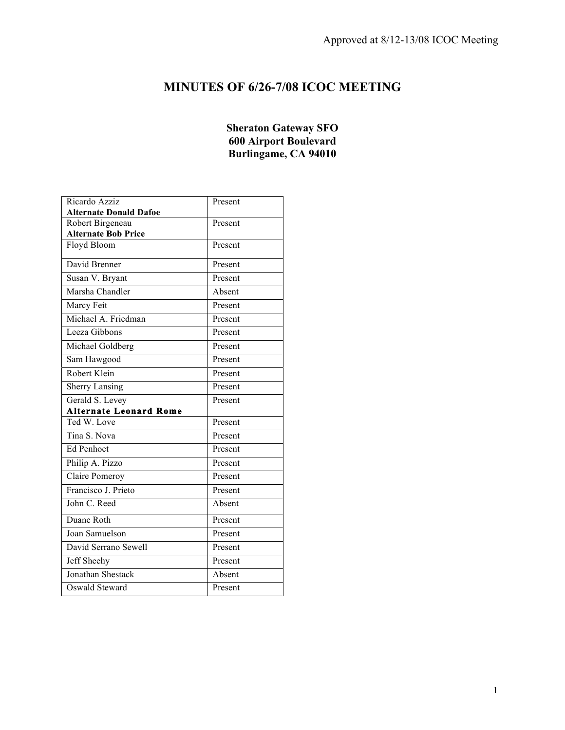# **MINUTES OF 6/26-7/08 ICOC MEETING**

## **Sheraton Gateway SFO 600 Airport Boulevard Burlingame, CA 94010**

| Ricardo Azziz                 | Present |
|-------------------------------|---------|
| <b>Alternate Donald Dafoe</b> |         |
| Robert Birgeneau              | Present |
| <b>Alternate Bob Price</b>    |         |
| Floyd Bloom                   | Present |
| David Brenner                 | Present |
| Susan V. Bryant               | Present |
| Marsha Chandler               | Absent  |
| Marcy Feit                    | Present |
| Michael A. Friedman           | Present |
| Leeza Gibbons                 | Present |
| Michael Goldberg              | Present |
| Sam Hawgood                   | Present |
| Robert Klein                  | Present |
| <b>Sherry Lansing</b>         | Present |
| Gerald S. Levey               | Present |
| <b>Alternate Leonard Rome</b> |         |
| Ted W. Love                   | Present |
| Tina S. Nova                  | Present |
| Ed Penhoet                    | Present |
| Philip A. Pizzo               | Present |
| Claire Pomeroy                | Present |
| Francisco J. Prieto           |         |
|                               | Present |
| John C. Reed                  | Absent  |
| Duane Roth                    | Present |
| Joan Samuelson                | Present |
| David Serrano Sewell          | Present |
| Jeff Sheehy                   | Present |
| Jonathan Shestack             | Absent  |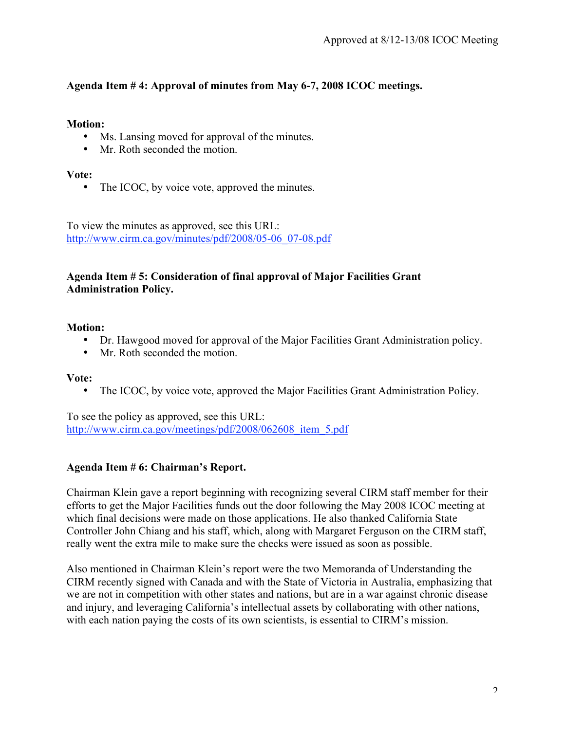# **Agenda Item # 4: Approval of minutes from May 6-7, 2008 ICOC meetings.**

# **Motion:**

- Ms. Lansing moved for approval of the minutes.
- Mr. Roth seconded the motion.

# **Vote:**

• The ICOC, by voice vote, approved the minutes.

To view the minutes as approved, see this URL: http://www.cirm.ca.gov/minutes/pdf/2008/05-06\_07-08.pdf

# **Agenda Item # 5: Consideration of final approval of Major Facilities Grant Administration Policy.**

# **Motion:**

- Dr. Hawgood moved for approval of the Major Facilities Grant Administration policy.
- Mr. Roth seconded the motion.

# **Vote:**

• The ICOC, by voice vote, approved the Major Facilities Grant Administration Policy.

To see the policy as approved, see this URL: http://www.cirm.ca.gov/meetings/pdf/2008/062608 item\_5.pdf

# **Agenda Item # 6: Chairman's Report.**

Chairman Klein gave a report beginning with recognizing several CIRM staff member for their efforts to get the Major Facilities funds out the door following the May 2008 ICOC meeting at which final decisions were made on those applications. He also thanked California State Controller John Chiang and his staff, which, along with Margaret Ferguson on the CIRM staff, really went the extra mile to make sure the checks were issued as soon as possible.

Also mentioned in Chairman Klein's report were the two Memoranda of Understanding the CIRM recently signed with Canada and with the State of Victoria in Australia, emphasizing that we are not in competition with other states and nations, but are in a war against chronic disease and injury, and leveraging California's intellectual assets by collaborating with other nations, with each nation paying the costs of its own scientists, is essential to CIRM's mission.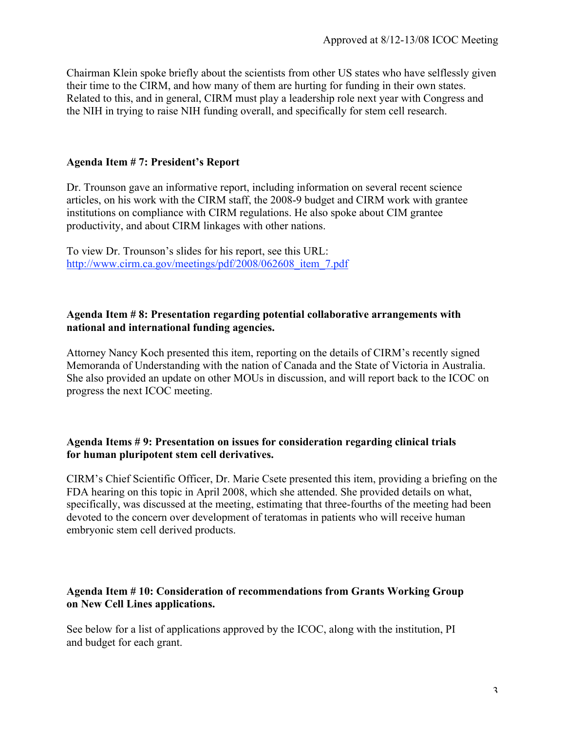Chairman Klein spoke briefly about the scientists from other US states who have selflessly given their time to the CIRM, and how many of them are hurting for funding in their own states. Related to this, and in general, CIRM must play a leadership role next year with Congress and the NIH in trying to raise NIH funding overall, and specifically for stem cell research.

# **Agenda Item # 7: President's Report**

Dr. Trounson gave an informative report, including information on several recent science articles, on his work with the CIRM staff, the 2008-9 budget and CIRM work with grantee institutions on compliance with CIRM regulations. He also spoke about CIM grantee productivity, and about CIRM linkages with other nations.

To view Dr. Trounson's slides for his report, see this URL: http://www.cirm.ca.gov/meetings/pdf/2008/062608\_item\_7.pdf

# **Agenda Item # 8: Presentation regarding potential collaborative arrangements with national and international funding agencies.**

Attorney Nancy Koch presented this item, reporting on the details of CIRM's recently signed Memoranda of Understanding with the nation of Canada and the State of Victoria in Australia. She also provided an update on other MOUs in discussion, and will report back to the ICOC on progress the next ICOC meeting.

### **Agenda Items # 9: Presentation on issues for consideration regarding clinical trials for human pluripotent stem cell derivatives.**

CIRM's Chief Scientific Officer, Dr. Marie Csete presented this item, providing a briefing on the FDA hearing on this topic in April 2008, which she attended. She provided details on what, specifically, was discussed at the meeting, estimating that three-fourths of the meeting had been devoted to the concern over development of teratomas in patients who will receive human embryonic stem cell derived products.

### **Agenda Item # 10: Consideration of recommendations from Grants Working Group on New Cell Lines applications.**

See below for a list of applications approved by the ICOC, along with the institution, PI and budget for each grant.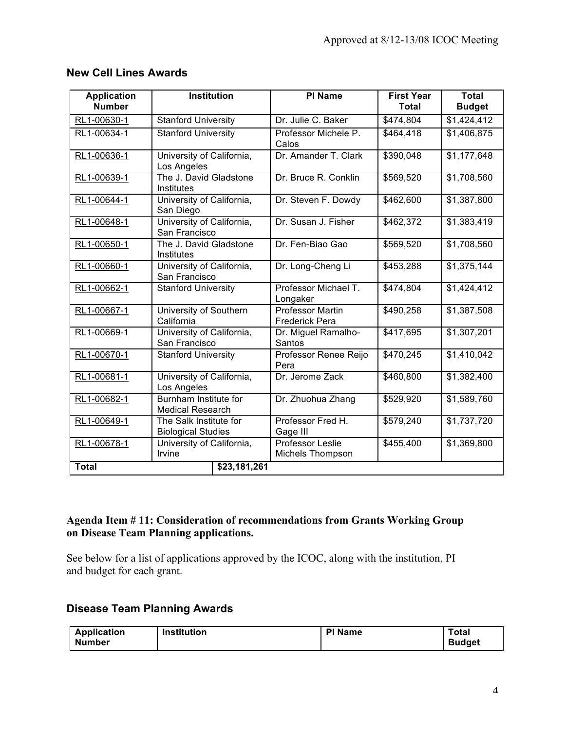| <b>Application</b><br><b>Number</b> | <b>Institution</b>                                  | <b>PI Name</b>                                   | <b>First Year</b><br><b>Total</b> | <b>Total</b><br><b>Budget</b> |
|-------------------------------------|-----------------------------------------------------|--------------------------------------------------|-----------------------------------|-------------------------------|
| RL1-00630-1                         | <b>Stanford University</b>                          | Dr. Julie C. Baker                               | \$474,804                         | \$1,424,412                   |
| RL1-00634-1                         | <b>Stanford University</b>                          | Professor Michele P.<br>Calos                    | \$464,418                         | \$1,406,875                   |
| RL1-00636-1                         | University of California,<br>Los Angeles            | Dr. Amander T. Clark                             | \$390,048                         | \$1,177,648                   |
| RL1-00639-1                         | The J. David Gladstone<br>Institutes                | Dr. Bruce R. Conklin                             | \$569,520                         | \$1,708,560                   |
| RL1-00644-1                         | University of California,<br>San Diego              | Dr. Steven F. Dowdy                              | \$462,600                         | \$1,387,800                   |
| RL1-00648-1                         | University of California,<br>San Francisco          | Dr. Susan J. Fisher                              | \$462,372                         | \$1,383,419                   |
| RL1-00650-1                         | The J. David Gladstone<br>Institutes                | Dr. Fen-Biao Gao                                 | \$569,520                         | \$1,708,560                   |
| RL1-00660-1                         | University of California,<br>San Francisco          | Dr. Long-Cheng Li                                | \$453,288                         | \$1,375,144                   |
| RL1-00662-1                         | <b>Stanford University</b>                          | Professor Michael T.<br>Longaker                 | \$474,804                         | \$1,424,412                   |
| RL1-00667-1                         | University of Southern<br>California                | <b>Professor Martin</b><br><b>Frederick Pera</b> | \$490,258                         | \$1,387,508                   |
| RL1-00669-1                         | University of California,<br>San Francisco          | Dr. Miguel Ramalho-<br>Santos                    | \$417,695                         | \$1,307,201                   |
| RL1-00670-1                         | <b>Stanford University</b>                          | Professor Renee Reijo<br>Pera                    | \$470,245                         | \$1,410,042                   |
| RL1-00681-1                         | University of California,<br>Los Angeles            | Dr. Jerome Zack                                  | \$460,800                         | \$1,382,400                   |
| RL1-00682-1                         | Burnham Institute for<br><b>Medical Research</b>    | Dr. Zhuohua Zhang                                | \$529,920                         | \$1,589,760                   |
| RL1-00649-1                         | The Salk Institute for<br><b>Biological Studies</b> | Professor Fred H.<br>Gage III                    | \$579,240                         | \$1,737,720                   |
| RL1-00678-1                         | University of California,<br>Irvine                 | Professor Leslie<br>Michels Thompson             | \$455,400                         | \$1,369,800                   |
| <b>Total</b>                        | \$23,181,261                                        |                                                  |                                   |                               |

# **New Cell Lines Awards**

# **Agenda Item # 11: Consideration of recommendations from Grants Working Group on Disease Team Planning applications.**

See below for a list of applications approved by the ICOC, along with the institution, PI and budget for each grant.

# **Disease Team Planning Awards**

| <b>Application</b> | <b>Institution</b> | <b>PI Name</b> | Total         |
|--------------------|--------------------|----------------|---------------|
| <b>Number</b>      |                    |                | <b>Budget</b> |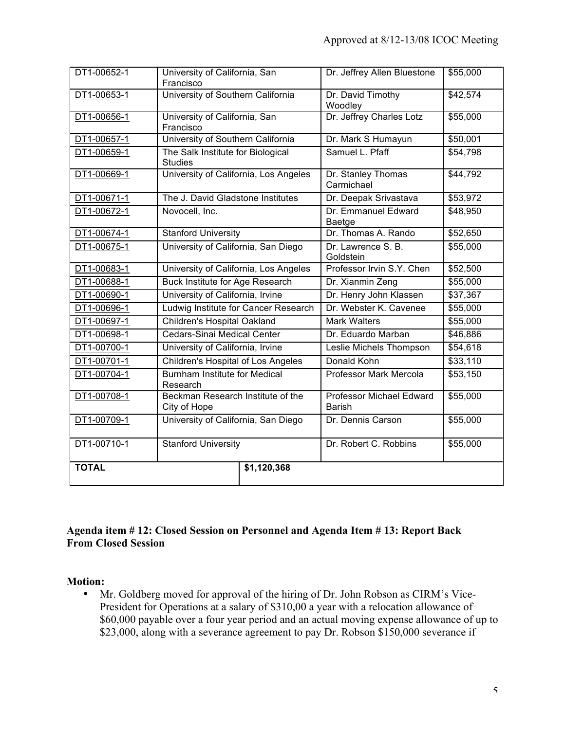| DT1-00652-1  | University of California, San<br>Francisco          |             | Dr. Jeffrey Allen Bluestone               | \$55,000 |
|--------------|-----------------------------------------------------|-------------|-------------------------------------------|----------|
| DT1-00653-1  | University of Southern California                   |             | Dr. David Timothy<br>Woodley              | \$42,574 |
| DT1-00656-1  | University of California, San<br>Francisco          |             | Dr. Jeffrey Charles Lotz                  | \$55,000 |
| DT1-00657-1  | University of Southern California                   |             | Dr. Mark S Humayun                        | \$50,001 |
| DT1-00659-1  | The Salk Institute for Biological<br><b>Studies</b> |             | Samuel L. Pfaff                           | \$54,798 |
| DT1-00669-1  | University of California, Los Angeles               |             | Dr. Stanley Thomas<br>Carmichael          | \$44,792 |
| DT1-00671-1  | The J. David Gladstone Institutes                   |             | Dr. Deepak Srivastava                     | \$53,972 |
| DT1-00672-1  | Novocell, Inc.                                      |             | Dr. Emmanuel Edward<br>Baetge             | \$48,950 |
| DT1-00674-1  | <b>Stanford University</b>                          |             | Dr. Thomas A. Rando                       | \$52,650 |
| DT1-00675-1  | University of California, San Diego                 |             | Dr. Lawrence S. B.<br>Goldstein           | \$55,000 |
| DT1-00683-1  | University of California, Los Angeles               |             | Professor Irvin S.Y. Chen                 | \$52,500 |
| DT1-00688-1  | <b>Buck Institute for Age Research</b>              |             | Dr. Xianmin Zeng                          | \$55,000 |
| DT1-00690-1  | University of California, Irvine                    |             | Dr. Henry John Klassen                    | \$37,367 |
| DT1-00696-1  | Ludwig Institute for Cancer Research                |             | Dr. Webster K. Cavenee                    | \$55,000 |
| DT1-00697-1  | Children's Hospital Oakland                         |             | <b>Mark Walters</b>                       | \$55,000 |
| DT1-00698-1  | Cedars-Sinai Medical Center                         |             | Dr. Eduardo Marban                        | \$46,886 |
| DT1-00700-1  | University of California, Irvine                    |             | Leslie Michels Thompson                   | \$54,618 |
| DT1-00701-1  | <b>Children's Hospital of Los Angeles</b>           |             | Donald Kohn                               | \$33,110 |
| DT1-00704-1  | Burnham Institute for Medical<br>Research           |             | Professor Mark Mercola                    | \$53,150 |
| DT1-00708-1  | Beckman Research Institute of the<br>City of Hope   |             | Professor Michael Edward<br><b>Barish</b> | \$55,000 |
| DT1-00709-1  | University of California, San Diego                 |             | Dr. Dennis Carson                         | \$55,000 |
| DT1-00710-1  | <b>Stanford University</b>                          |             | Dr. Robert C. Robbins                     | \$55,000 |
| <b>TOTAL</b> |                                                     | \$1,120,368 |                                           |          |
|              |                                                     |             |                                           |          |

# **Agenda item # 12: Closed Session on Personnel and Agenda Item # 13: Report Back From Closed Session**

#### **Motion:**

• Mr. Goldberg moved for approval of the hiring of Dr. John Robson as CIRM's Vice-President for Operations at a salary of \$310,00 a year with a relocation allowance of \$60,000 payable over a four year period and an actual moving expense allowance of up to \$23,000, along with a severance agreement to pay Dr. Robson \$150,000 severance if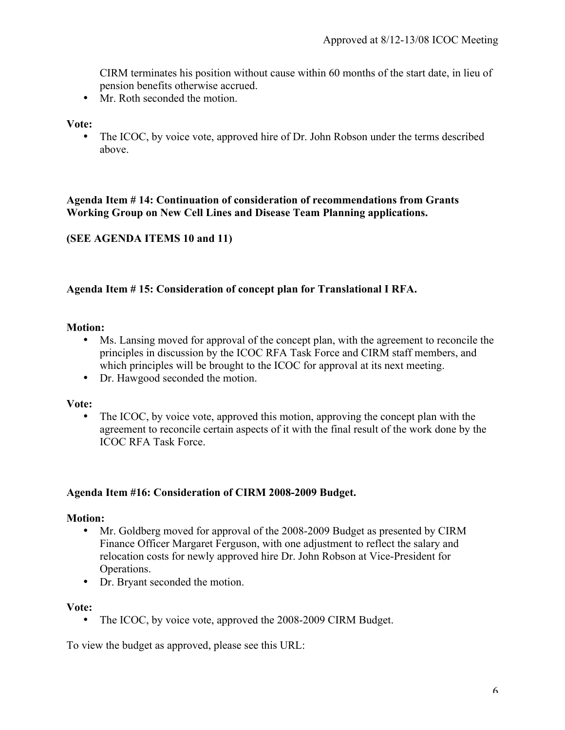CIRM terminates his position without cause within 60 months of the start date, in lieu of pension benefits otherwise accrued.

• Mr. Roth seconded the motion.

#### **Vote:**

The ICOC, by voice vote, approved hire of Dr. John Robson under the terms described above.

### **Agenda Item # 14: Continuation of consideration of recommendations from Grants Working Group on New Cell Lines and Disease Team Planning applications.**

# **(SEE AGENDA ITEMS 10 and 11)**

### **Agenda Item # 15: Consideration of concept plan for Translational I RFA.**

#### **Motion:**

- Ms. Lansing moved for approval of the concept plan, with the agreement to reconcile the principles in discussion by the ICOC RFA Task Force and CIRM staff members, and which principles will be brought to the ICOC for approval at its next meeting.
- Dr. Hawgood seconded the motion.

#### **Vote:**

The ICOC, by voice vote, approved this motion, approving the concept plan with the agreement to reconcile certain aspects of it with the final result of the work done by the ICOC RFA Task Force.

#### **Agenda Item #16: Consideration of CIRM 2008-2009 Budget.**

#### **Motion:**

- Mr. Goldberg moved for approval of the 2008-2009 Budget as presented by CIRM Finance Officer Margaret Ferguson, with one adjustment to reflect the salary and relocation costs for newly approved hire Dr. John Robson at Vice-President for Operations.
- Dr. Bryant seconded the motion.

#### **Vote:**

• The ICOC, by voice vote, approved the 2008-2009 CIRM Budget.

To view the budget as approved, please see this URL: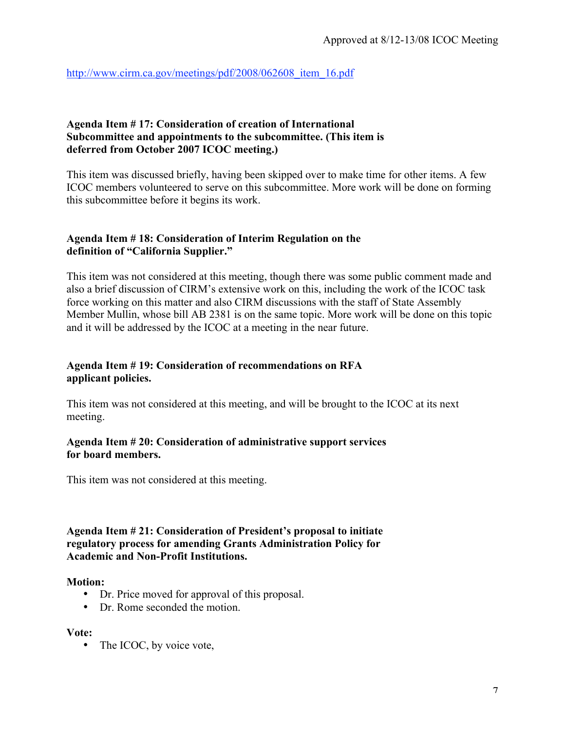http://www.cirm.ca.gov/meetings/pdf/2008/062608\_item\_16.pdf

## **Agenda Item # 17: Consideration of creation of International Subcommittee and appointments to the subcommittee. (This item is deferred from October 2007 ICOC meeting.)**

This item was discussed briefly, having been skipped over to make time for other items. A few ICOC members volunteered to serve on this subcommittee. More work will be done on forming this subcommittee before it begins its work.

# **Agenda Item # 18: Consideration of Interim Regulation on the definition of "California Supplier."**

This item was not considered at this meeting, though there was some public comment made and also a brief discussion of CIRM's extensive work on this, including the work of the ICOC task force working on this matter and also CIRM discussions with the staff of State Assembly Member Mullin, whose bill AB 2381 is on the same topic. More work will be done on this topic and it will be addressed by the ICOC at a meeting in the near future.

# **Agenda Item # 19: Consideration of recommendations on RFA applicant policies.**

This item was not considered at this meeting, and will be brought to the ICOC at its next meeting.

# **Agenda Item # 20: Consideration of administrative support services for board members.**

This item was not considered at this meeting.

## **Agenda Item # 21: Consideration of President's proposal to initiate regulatory process for amending Grants Administration Policy for Academic and Non-Profit Institutions.**

#### **Motion:**

- Dr. Price moved for approval of this proposal.
- Dr. Rome seconded the motion.

#### **Vote:**

• The ICOC, by voice vote,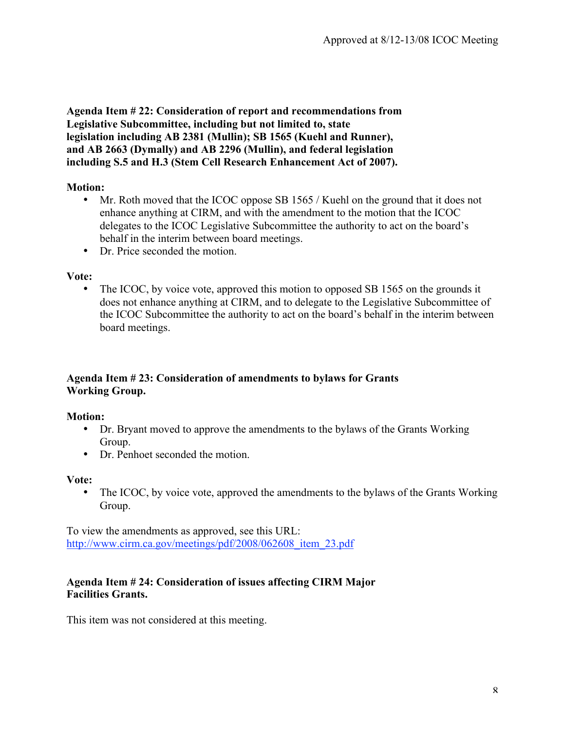**Agenda Item # 22: Consideration of report and recommendations from Legislative Subcommittee, including but not limited to, state legislation including AB 2381 (Mullin); SB 1565 (Kuehl and Runner), and AB 2663 (Dymally) and AB 2296 (Mullin), and federal legislation including S.5 and H.3 (Stem Cell Research Enhancement Act of 2007).**

# **Motion:**

- Mr. Roth moved that the ICOC oppose SB 1565 / Kuehl on the ground that it does not enhance anything at CIRM, and with the amendment to the motion that the ICOC delegates to the ICOC Legislative Subcommittee the authority to act on the board's behalf in the interim between board meetings.
- Dr. Price seconded the motion.

#### **Vote:**

• The ICOC, by voice vote, approved this motion to opposed SB 1565 on the grounds it does not enhance anything at CIRM, and to delegate to the Legislative Subcommittee of the ICOC Subcommittee the authority to act on the board's behalf in the interim between board meetings.

# **Agenda Item # 23: Consideration of amendments to bylaws for Grants Working Group.**

#### **Motion:**

- Dr. Bryant moved to approve the amendments to the bylaws of the Grants Working Group.
- Dr. Penhoet seconded the motion.

#### **Vote:**

• The ICOC, by voice vote, approved the amendments to the bylaws of the Grants Working Group.

To view the amendments as approved, see this URL: http://www.cirm.ca.gov/meetings/pdf/2008/062608 item\_23.pdf

### **Agenda Item # 24: Consideration of issues affecting CIRM Major Facilities Grants.**

This item was not considered at this meeting.